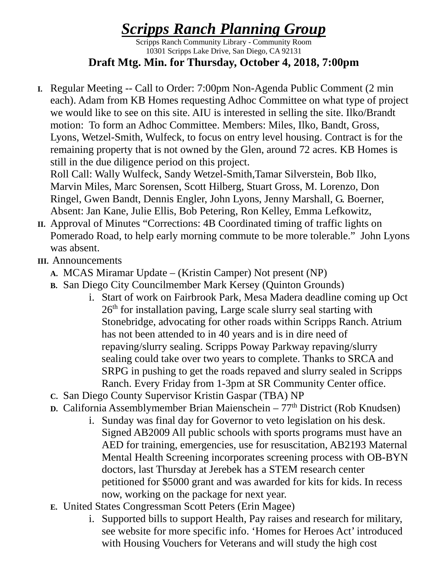## *Scripps Ranch Planning Group*

Scripps Ranch Community Library - Community Room 10301 Scripps Lake Drive, San Diego, CA 92131 **Draft Mtg. Min. for Thursday, October 4, 2018, 7:00pm**

**I.** Regular Meeting -- Call to Order: 7:00pm Non-Agenda Public Comment (2 min each). Adam from KB Homes requesting Adhoc Committee on what type of project we would like to see on this site. AIU is interested in selling the site. Ilko/Brandt motion: To form an Adhoc Committee. Members: Miles, Ilko, Bandt, Gross, Lyons, Wetzel-Smith, Wulfeck, to focus on entry level housing. Contract is for the remaining property that is not owned by the Glen, around 72 acres. KB Homes is still in the due diligence period on this project.

Roll Call: Wally Wulfeck, Sandy Wetzel-Smith,Tamar Silverstein, Bob Ilko, Marvin Miles, Marc Sorensen, Scott Hilberg, Stuart Gross, M. Lorenzo, Don Ringel, Gwen Bandt, Dennis Engler, John Lyons, Jenny Marshall, G. Boerner, Absent: Jan Kane, Julie Ellis, Bob Petering, Ron Kelley, Emma Lefkowitz,

- **II.** Approval of Minutes "Corrections: 4B Coordinated timing of traffic lights on Pomerado Road, to help early morning commute to be more tolerable." John Lyons was absent.
- **III.** Announcements
	- **A.** MCAS Miramar Update (Kristin Camper) Not present (NP)
	- **B.** San Diego City Councilmember Mark Kersey (Quinton Grounds)
		- i. Start of work on Fairbrook Park, Mesa Madera deadline coming up Oct  $26<sup>th</sup>$  for installation paving, Large scale slurry seal starting with Stonebridge, advocating for other roads within Scripps Ranch. Atrium has not been attended to in 40 years and is in dire need of repaving/slurry sealing. Scripps Poway Parkway repaving/slurry sealing could take over two years to complete. Thanks to SRCA and SRPG in pushing to get the roads repaved and slurry sealed in Scripps Ranch. Every Friday from 1-3pm at SR Community Center office.
	- **C.** San Diego County Supervisor Kristin Gaspar (TBA) NP
	- **D.** California Assemblymember Brian Maienschein 77<sup>th</sup> District (Rob Knudsen)
		- i. Sunday was final day for Governor to veto legislation on his desk. Signed AB2009 All public schools with sports programs must have an AED for training, emergencies, use for resuscitation, AB2193 Maternal Mental Health Screening incorporates screening process with OB-BYN doctors, last Thursday at Jerebek has a STEM research center petitioned for \$5000 grant and was awarded for kits for kids. In recess now, working on the package for next year.
	- **E.** United States Congressman Scott Peters (Erin Magee)
		- i. Supported bills to support Health, Pay raises and research for military, see website for more specific info. 'Homes for Heroes Act' introduced with Housing Vouchers for Veterans and will study the high cost